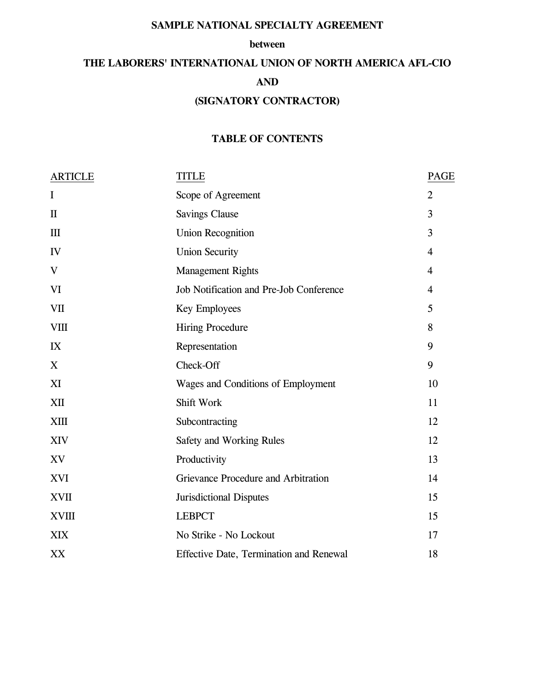### **SAMPLE NATIONAL SPECIALTY AGREEMENT**

#### **between**

# **THE LABORERS' INTERNATIONAL UNION OF NORTH AMERICA AFL-CIO AND (SIGNATORY CONTRACTOR)**

### **TABLE OF CONTENTS**

| <b>ARTICLE</b> | <b>TITLE</b>                            |                |
|----------------|-----------------------------------------|----------------|
| $\bf{I}$       | Scope of Agreement                      | $\overline{2}$ |
| $\mathbf{I}$   | <b>Savings Clause</b>                   | 3              |
| III            | <b>Union Recognition</b>                | 3              |
| IV             | <b>Union Security</b>                   | $\overline{4}$ |
| $\mathbf V$    | <b>Management Rights</b>                | $\overline{4}$ |
| VI             | Job Notification and Pre-Job Conference | $\overline{4}$ |
| <b>VII</b>     | Key Employees                           | 5              |
| <b>VIII</b>    | <b>Hiring Procedure</b>                 |                |
| IX             | Representation                          |                |
| X              | Check-Off                               |                |
| XI             | Wages and Conditions of Employment      |                |
| XII            | Shift Work                              | 11             |
| XIII           | Subcontracting                          | 12             |
| XIV            | Safety and Working Rules                | 12             |
| XV             | Productivity                            | 13             |
| <b>XVI</b>     | Grievance Procedure and Arbitration     | 14             |
| <b>XVII</b>    | <b>Jurisdictional Disputes</b>          | 15             |
| <b>XVIII</b>   | <b>LEBPCT</b>                           | 15             |
| <b>XIX</b>     | No Strike - No Lockout                  | 17             |
| XX             | Effective Date, Termination and Renewal | 18             |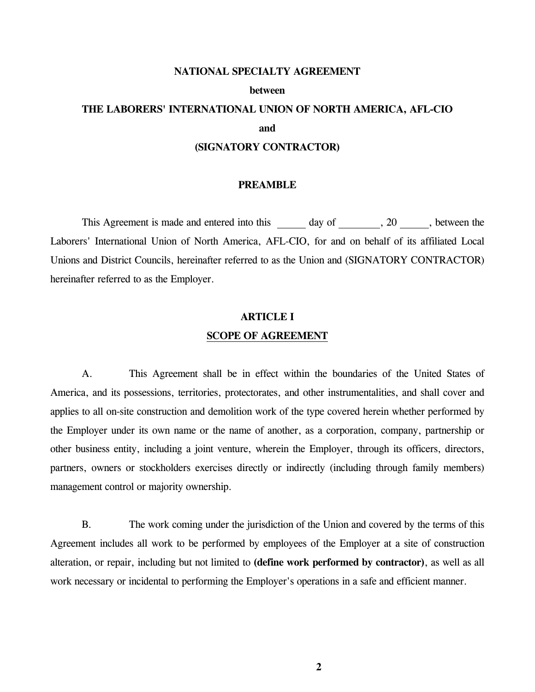#### **NATIONAL SPECIALTY AGREEMENT**

#### **between**

## **THE LABORERS' INTERNATIONAL UNION OF NORTH AMERICA, AFL-CIO and**

#### **(SIGNATORY CONTRACTOR)**

#### **PREAMBLE**

This Agreement is made and entered into this  $\_\_\_\_$  day of  $\_\_\_\_$ , 20  $\_\_\_\_$ , between the Laborers' International Union of North America, AFL-CIO, for and on behalf of its affiliated Local Unions and District Councils, hereinafter referred to as the Union and (SIGNATORY CONTRACTOR) hereinafter referred to as the Employer.

### **ARTICLE I SCOPE OF AGREEMENT**

 A. This Agreement shall be in effect within the boundaries of the United States of America, and its possessions, territories, protectorates, and other instrumentalities, and shall cover and applies to all on-site construction and demolition work of the type covered herein whether performed by the Employer under its own name or the name of another, as a corporation, company, partnership or other business entity, including a joint venture, wherein the Employer, through its officers, directors, partners, owners or stockholders exercises directly or indirectly (including through family members) management control or majority ownership.

 B. The work coming under the jurisdiction of the Union and covered by the terms of this Agreement includes all work to be performed by employees of the Employer at a site of construction alteration, or repair, including but not limited to **(define work performed by contractor)**, as well as all work necessary or incidental to performing the Employer's operations in a safe and efficient manner.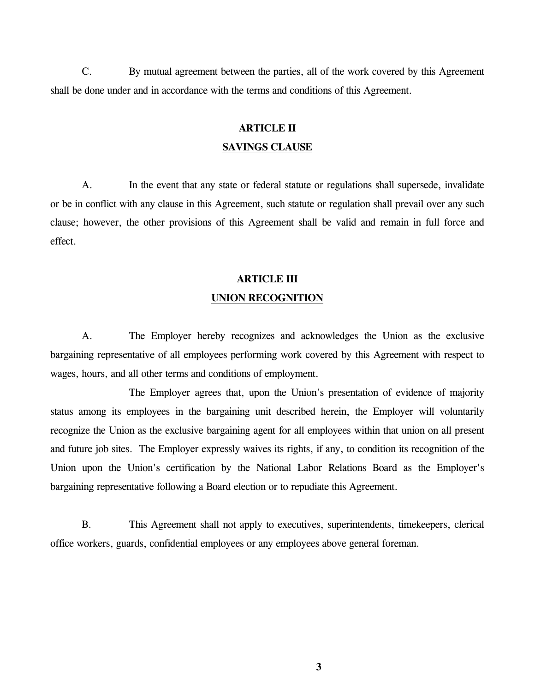C. By mutual agreement between the parties, all of the work covered by this Agreement shall be done under and in accordance with the terms and conditions of this Agreement.

### **ARTICLE II SAVINGS CLAUSE**

 A. In the event that any state or federal statute or regulations shall supersede, invalidate or be in conflict with any clause in this Agreement, such statute or regulation shall prevail over any such clause; however, the other provisions of this Agreement shall be valid and remain in full force and effect.

#### **ARTICLE III**

#### **UNION RECOGNITION**

 A. The Employer hereby recognizes and acknowledges the Union as the exclusive bargaining representative of all employees performing work covered by this Agreement with respect to wages, hours, and all other terms and conditions of employment.

 The Employer agrees that, upon the Union's presentation of evidence of majority status among its employees in the bargaining unit described herein, the Employer will voluntarily recognize the Union as the exclusive bargaining agent for all employees within that union on all present and future job sites. The Employer expressly waives its rights, if any, to condition its recognition of the Union upon the Union's certification by the National Labor Relations Board as the Employer's bargaining representative following a Board election or to repudiate this Agreement.

 B. This Agreement shall not apply to executives, superintendents, timekeepers, clerical office workers, guards, confidential employees or any employees above general foreman.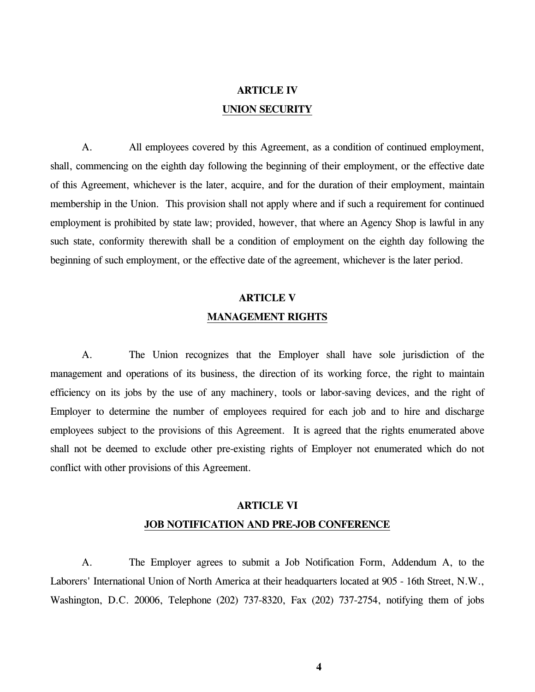### **ARTICLE IV UNION SECURITY**

 A. All employees covered by this Agreement, as a condition of continued employment, shall, commencing on the eighth day following the beginning of their employment, or the effective date of this Agreement, whichever is the later, acquire, and for the duration of their employment, maintain membership in the Union. This provision shall not apply where and if such a requirement for continued employment is prohibited by state law; provided, however, that where an Agency Shop is lawful in any such state, conformity therewith shall be a condition of employment on the eighth day following the beginning of such employment, or the effective date of the agreement, whichever is the later period.

## **ARTICLE V MANAGEMENT RIGHTS**

 A. The Union recognizes that the Employer shall have sole jurisdiction of the management and operations of its business, the direction of its working force, the right to maintain efficiency on its jobs by the use of any machinery, tools or labor-saving devices, and the right of Employer to determine the number of employees required for each job and to hire and discharge employees subject to the provisions of this Agreement. It is agreed that the rights enumerated above shall not be deemed to exclude other pre-existing rights of Employer not enumerated which do not conflict with other provisions of this Agreement.

## **ARTICLE VI JOB NOTIFICATION AND PRE-JOB CONFERENCE**

 A. The Employer agrees to submit a Job Notification Form, Addendum A, to the Laborers' International Union of North America at their headquarters located at 905 - 16th Street, N.W., Washington, D.C. 20006, Telephone (202) 737-8320, Fax (202) 737-2754, notifying them of jobs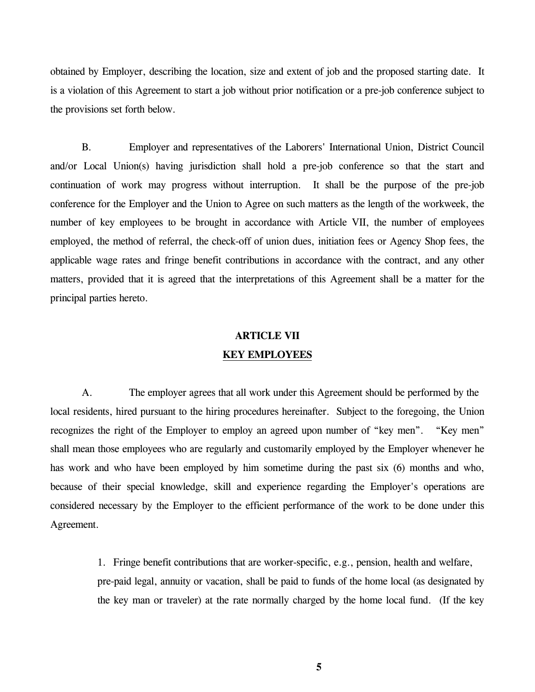obtained by Employer, describing the location, size and extent of job and the proposed starting date. It is a violation of this Agreement to start a job without prior notification or a pre-job conference subject to the provisions set forth below.

 B. Employer and representatives of the Laborers' International Union, District Council and/or Local Union(s) having jurisdiction shall hold a pre-job conference so that the start and continuation of work may progress without interruption. It shall be the purpose of the pre-job conference for the Employer and the Union to Agree on such matters as the length of the workweek, the number of key employees to be brought in accordance with Article VII, the number of employees employed, the method of referral, the check-off of union dues, initiation fees or Agency Shop fees, the applicable wage rates and fringe benefit contributions in accordance with the contract, and any other matters, provided that it is agreed that the interpretations of this Agreement shall be a matter for the principal parties hereto.

### **ARTICLE VII**

#### **KEY EMPLOYEES**

A. The employer agrees that all work under this Agreement should be performed by the local residents, hired pursuant to the hiring procedures hereinafter. Subject to the foregoing, the Union recognizes the right of the Employer to employ an agreed upon number of "key men". "Key men" shall mean those employees who are regularly and customarily employed by the Employer whenever he has work and who have been employed by him sometime during the past six (6) months and who, because of their special knowledge, skill and experience regarding the Employer's operations are considered necessary by the Employer to the efficient performance of the work to be done under this Agreement.

> 1. Fringe benefit contributions that are worker-specific, e.g., pension, health and welfare, pre-paid legal, annuity or vacation, shall be paid to funds of the home local (as designated by the key man or traveler) at the rate normally charged by the home local fund. (If the key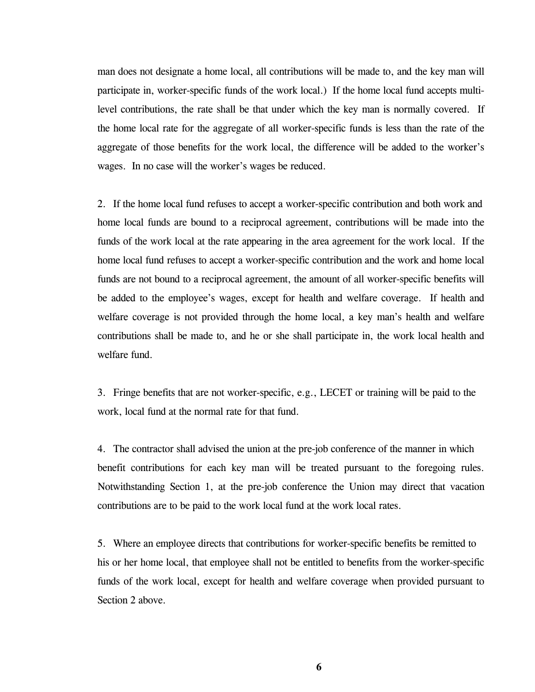man does not designate a home local, all contributions will be made to, and the key man will participate in, worker-specific funds of the work local.) If the home local fund accepts multilevel contributions, the rate shall be that under which the key man is normally covered. If the home local rate for the aggregate of all worker-specific funds is less than the rate of the aggregate of those benefits for the work local, the difference will be added to the worker's wages. In no case will the worker's wages be reduced.

2. If the home local fund refuses to accept a worker-specific contribution and both work and home local funds are bound to a reciprocal agreement, contributions will be made into the funds of the work local at the rate appearing in the area agreement for the work local. If the home local fund refuses to accept a worker-specific contribution and the work and home local funds are not bound to a reciprocal agreement, the amount of all worker-specific benefits will be added to the employee's wages, except for health and welfare coverage. If health and welfare coverage is not provided through the home local, a key man's health and welfare contributions shall be made to, and he or she shall participate in, the work local health and welfare fund.

3. Fringe benefits that are not worker-specific, e.g., LECET or training will be paid to the work, local fund at the normal rate for that fund.

4. The contractor shall advised the union at the pre-job conference of the manner in which benefit contributions for each key man will be treated pursuant to the foregoing rules. Notwithstanding Section 1, at the pre-job conference the Union may direct that vacation contributions are to be paid to the work local fund at the work local rates.

5. Where an employee directs that contributions for worker-specific benefits be remitted to his or her home local, that employee shall not be entitled to benefits from the worker-specific funds of the work local, except for health and welfare coverage when provided pursuant to Section 2 above.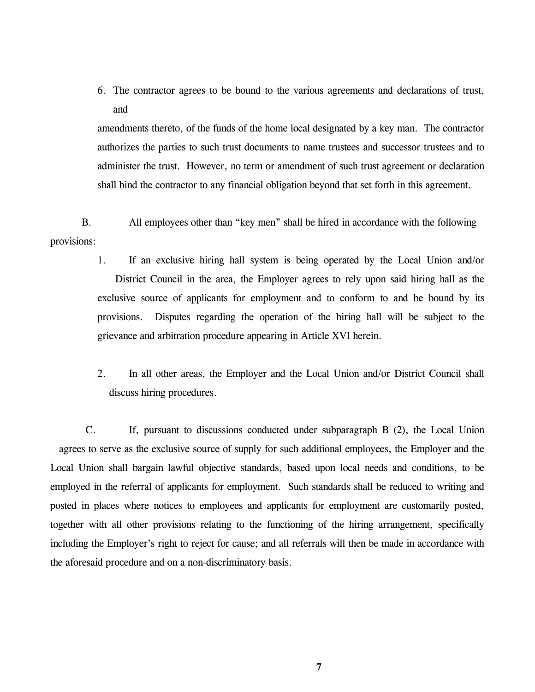6. The contractor agrees to be bound to the various agreements and declarations of trust, and

amendments thereto, of the funds of the home local designated by a key man. The contractor authorizes the parties to such trust documents to name trustees and successor trustees and to administer the trust. However, no term or amendment of such trust agreement or declaration shall bind the contractor to any financial obligation beyond that set forth in this agreement.

B. All employees other than "key men" shall be hired in accordance with the following provisions:

- 1. If an exclusive hiring hall system is being operated by the Local Union and/or District Council in the area, the Employer agrees to rely upon said hiring hall as the exclusive source of applicants for employment and to conform to and be bound by its provisions. Disputes regarding the operation of the hiring hall will be subject to the grievance and arbitration procedure appearing in Article XVI herein.
- 2. In all other areas, the Employer and the Local Union and/or District Council shall discuss hiring procedures.

 C. If, pursuant to discussions conducted under subparagraph B (2), the Local Union agrees to serve as the exclusive source of supply for such additional employees, the Employer and the Local Union shall bargain lawful objective standards, based upon local needs and conditions, to be employed in the referral of applicants for employment. Such standards shall be reduced to writing and posted in places where notices to employees and applicants for employment are customarily posted, together with all other provisions relating to the functioning of the hiring arrangement, specifically including the Employer's right to reject for cause; and all referrals will then be made in accordance with the aforesaid procedure and on a non-discriminatory basis.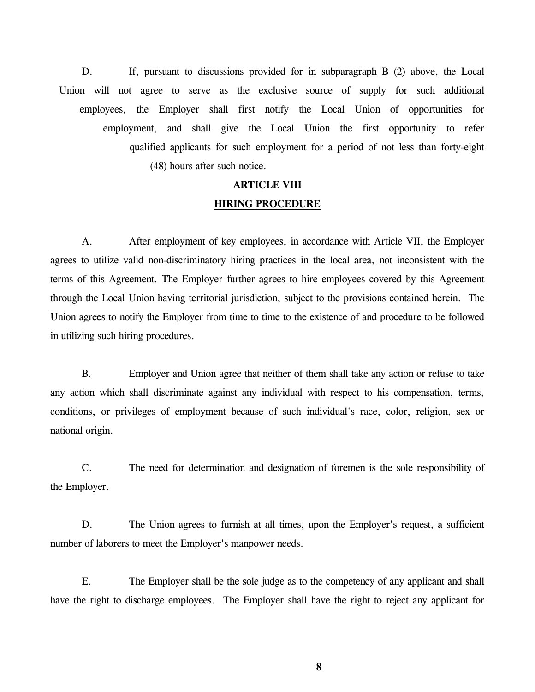D. If, pursuant to discussions provided for in subparagraph B (2) above, the Local Union will not agree to serve as the exclusive source of supply for such additional employees, the Employer shall first notify the Local Union of opportunities for employment, and shall give the Local Union the first opportunity to refer qualified applicants for such employment for a period of not less than forty-eight (48) hours after such notice.

### **ARTICLE VIII HIRING PROCEDURE**

 A. After employment of key employees, in accordance with Article VII, the Employer agrees to utilize valid non-discriminatory hiring practices in the local area, not inconsistent with the terms of this Agreement. The Employer further agrees to hire employees covered by this Agreement through the Local Union having territorial jurisdiction, subject to the provisions contained herein. The Union agrees to notify the Employer from time to time to the existence of and procedure to be followed in utilizing such hiring procedures.

 B. Employer and Union agree that neither of them shall take any action or refuse to take any action which shall discriminate against any individual with respect to his compensation, terms, conditions, or privileges of employment because of such individual's race, color, religion, sex or national origin.

 C. The need for determination and designation of foremen is the sole responsibility of the Employer.

D. The Union agrees to furnish at all times, upon the Employer's request, a sufficient number of laborers to meet the Employer's manpower needs.

 E. The Employer shall be the sole judge as to the competency of any applicant and shall have the right to discharge employees. The Employer shall have the right to reject any applicant for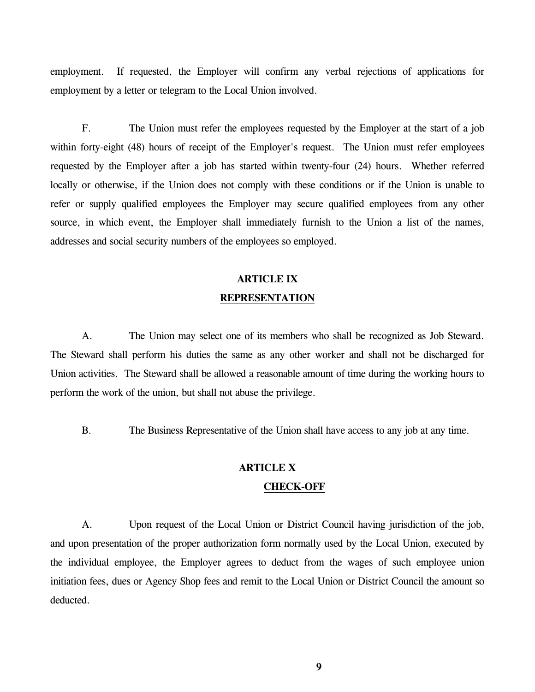employment. If requested, the Employer will confirm any verbal rejections of applications for employment by a letter or telegram to the Local Union involved.

 F. The Union must refer the employees requested by the Employer at the start of a job within forty-eight (48) hours of receipt of the Employer's request. The Union must refer employees requested by the Employer after a job has started within twenty-four (24) hours. Whether referred locally or otherwise, if the Union does not comply with these conditions or if the Union is unable to refer or supply qualified employees the Employer may secure qualified employees from any other source, in which event, the Employer shall immediately furnish to the Union a list of the names, addresses and social security numbers of the employees so employed.

### **ARTICLE IX REPRESENTATION**

 A. The Union may select one of its members who shall be recognized as Job Steward. The Steward shall perform his duties the same as any other worker and shall not be discharged for Union activities. The Steward shall be allowed a reasonable amount of time during the working hours to perform the work of the union, but shall not abuse the privilege.

B. The Business Representative of the Union shall have access to any job at any time.

#### **ARTICLE X**

#### **CHECK-OFF**

 A. Upon request of the Local Union or District Council having jurisdiction of the job, and upon presentation of the proper authorization form normally used by the Local Union, executed by the individual employee, the Employer agrees to deduct from the wages of such employee union initiation fees, dues or Agency Shop fees and remit to the Local Union or District Council the amount so deducted.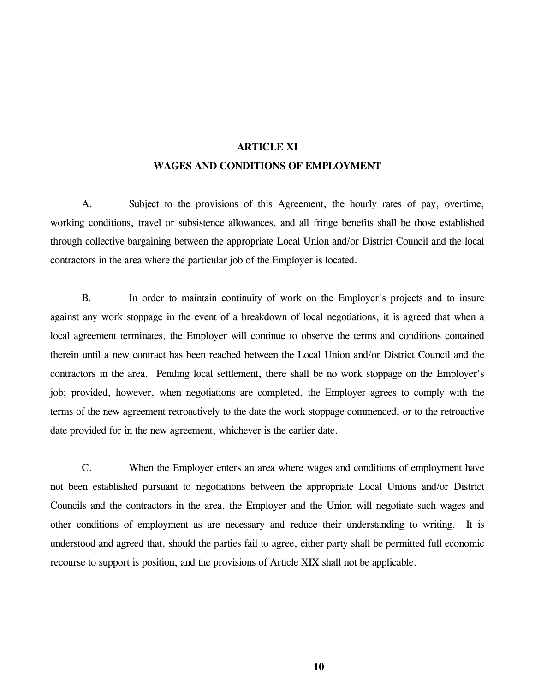### **ARTICLE XI WAGES AND CONDITIONS OF EMPLOYMENT**

 A. Subject to the provisions of this Agreement, the hourly rates of pay, overtime, working conditions, travel or subsistence allowances, and all fringe benefits shall be those established through collective bargaining between the appropriate Local Union and/or District Council and the local contractors in the area where the particular job of the Employer is located.

 B. In order to maintain continuity of work on the Employer's projects and to insure against any work stoppage in the event of a breakdown of local negotiations, it is agreed that when a local agreement terminates, the Employer will continue to observe the terms and conditions contained therein until a new contract has been reached between the Local Union and/or District Council and the contractors in the area. Pending local settlement, there shall be no work stoppage on the Employer's job; provided, however, when negotiations are completed, the Employer agrees to comply with the terms of the new agreement retroactively to the date the work stoppage commenced, or to the retroactive date provided for in the new agreement, whichever is the earlier date.

 C. When the Employer enters an area where wages and conditions of employment have not been established pursuant to negotiations between the appropriate Local Unions and/or District Councils and the contractors in the area, the Employer and the Union will negotiate such wages and other conditions of employment as are necessary and reduce their understanding to writing. It is understood and agreed that, should the parties fail to agree, either party shall be permitted full economic recourse to support is position, and the provisions of Article XIX shall not be applicable.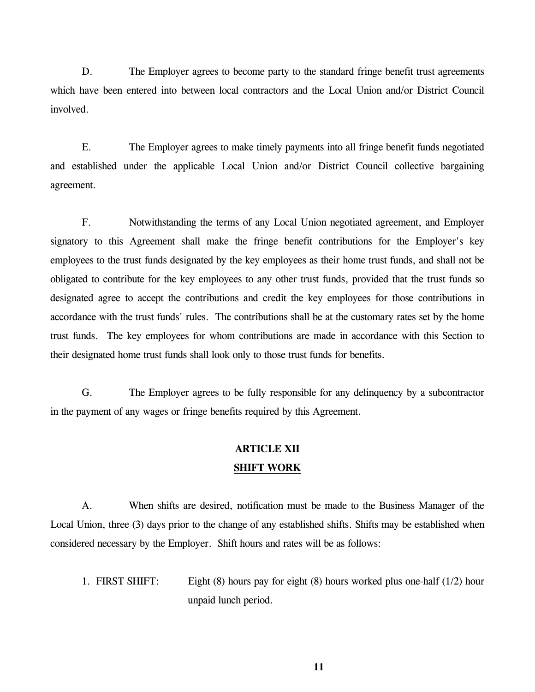D. The Employer agrees to become party to the standard fringe benefit trust agreements which have been entered into between local contractors and the Local Union and/or District Council involved.

 E. The Employer agrees to make timely payments into all fringe benefit funds negotiated and established under the applicable Local Union and/or District Council collective bargaining agreement.

 F. Notwithstanding the terms of any Local Union negotiated agreement, and Employer signatory to this Agreement shall make the fringe benefit contributions for the Employer's key employees to the trust funds designated by the key employees as their home trust funds, and shall not be obligated to contribute for the key employees to any other trust funds, provided that the trust funds so designated agree to accept the contributions and credit the key employees for those contributions in accordance with the trust funds' rules. The contributions shall be at the customary rates set by the home trust funds. The key employees for whom contributions are made in accordance with this Section to their designated home trust funds shall look only to those trust funds for benefits.

 G. The Employer agrees to be fully responsible for any delinquency by a subcontractor in the payment of any wages or fringe benefits required by this Agreement.

### **ARTICLE XII SHIFT WORK**

 A. When shifts are desired, notification must be made to the Business Manager of the Local Union, three (3) days prior to the change of any established shifts. Shifts may be established when considered necessary by the Employer. Shift hours and rates will be as follows:

 1. FIRST SHIFT: Eight (8) hours pay for eight (8) hours worked plus one-half (1/2) hour unpaid lunch period.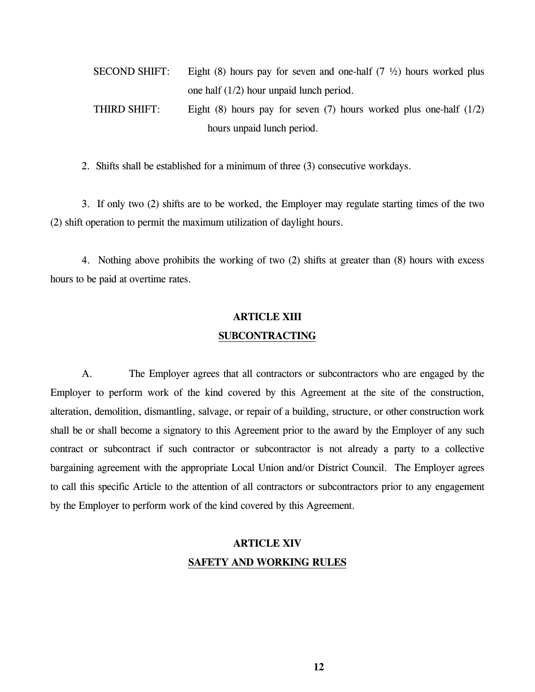| <b>SECOND SHIFT:</b>       | Eight (8) hours pay for seven and one-half (7 $\frac{1}{2}$ ) hours worked plus |  |  |
|----------------------------|---------------------------------------------------------------------------------|--|--|
|                            | one half $(1/2)$ hour unpaid lunch period.                                      |  |  |
| THIRD SHIFT:               | Eight (8) hours pay for seven (7) hours worked plus one-half $(1/2)$            |  |  |
| hours unpaid lunch period. |                                                                                 |  |  |

2. Shifts shall be established for a minimum of three (3) consecutive workdays.

 3. If only two (2) shifts are to be worked, the Employer may regulate starting times of the two (2) shift operation to permit the maximum utilization of daylight hours.

 4. Nothing above prohibits the working of two (2) shifts at greater than (8) hours with excess hours to be paid at overtime rates.

## **ARTICLE XIII SUBCONTRACTING**

 A. The Employer agrees that all contractors or subcontractors who are engaged by the Employer to perform work of the kind covered by this Agreement at the site of the construction, alteration, demolition, dismantling, salvage, or repair of a building, structure, or other construction work shall be or shall become a signatory to this Agreement prior to the award by the Employer of any such contract or subcontract if such contractor or subcontractor is not already a party to a collective bargaining agreement with the appropriate Local Union and/or District Council. The Employer agrees to call this specific Article to the attention of all contractors or subcontractors prior to any engagement by the Employer to perform work of the kind covered by this Agreement.

## **ARTICLE XIV SAFETY AND WORKING RULES**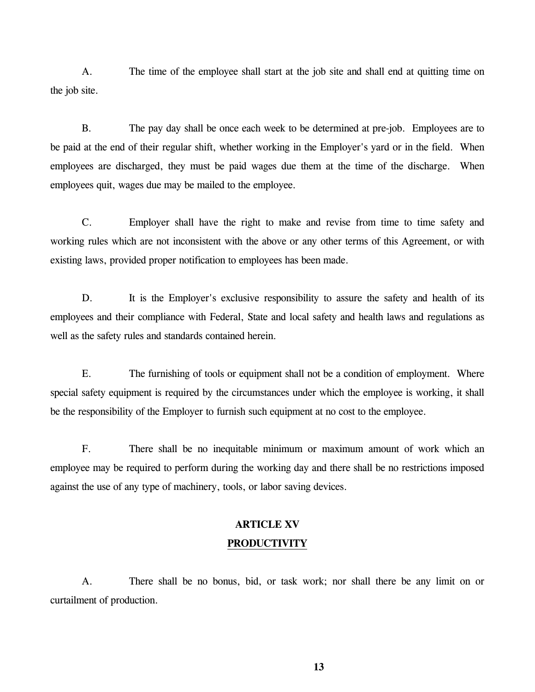A. The time of the employee shall start at the job site and shall end at quitting time on the job site.

 B. The pay day shall be once each week to be determined at pre-job. Employees are to be paid at the end of their regular shift, whether working in the Employer's yard or in the field. When employees are discharged, they must be paid wages due them at the time of the discharge. When employees quit, wages due may be mailed to the employee.

 C. Employer shall have the right to make and revise from time to time safety and working rules which are not inconsistent with the above or any other terms of this Agreement, or with existing laws, provided proper notification to employees has been made.

D. It is the Employer's exclusive responsibility to assure the safety and health of its employees and their compliance with Federal, State and local safety and health laws and regulations as well as the safety rules and standards contained herein.

 E. The furnishing of tools or equipment shall not be a condition of employment. Where special safety equipment is required by the circumstances under which the employee is working, it shall be the responsibility of the Employer to furnish such equipment at no cost to the employee.

 F. There shall be no inequitable minimum or maximum amount of work which an employee may be required to perform during the working day and there shall be no restrictions imposed against the use of any type of machinery, tools, or labor saving devices.

## **ARTICLE XV PRODUCTIVITY**

 A. There shall be no bonus, bid, or task work; nor shall there be any limit on or curtailment of production.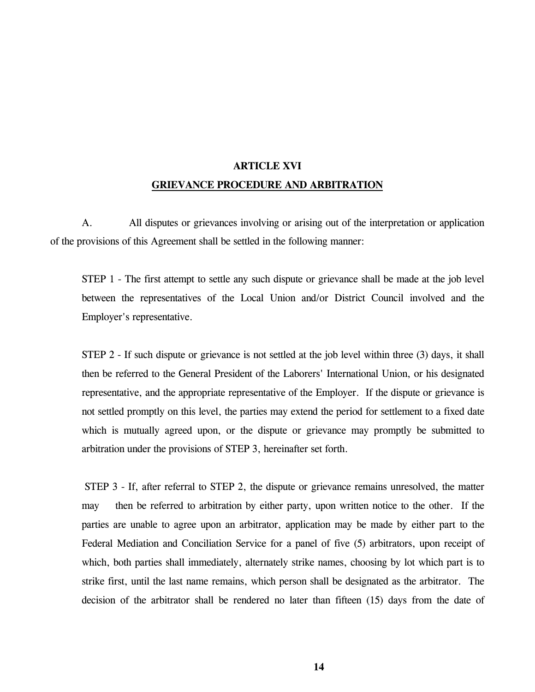## **ARTICLE XVI GRIEVANCE PROCEDURE AND ARBITRATION**

 A. All disputes or grievances involving or arising out of the interpretation or application of the provisions of this Agreement shall be settled in the following manner:

 STEP 1 - The first attempt to settle any such dispute or grievance shall be made at the job level between the representatives of the Local Union and/or District Council involved and the Employer's representative.

 STEP 2 - If such dispute or grievance is not settled at the job level within three (3) days, it shall then be referred to the General President of the Laborers' International Union, or his designated representative, and the appropriate representative of the Employer. If the dispute or grievance is not settled promptly on this level, the parties may extend the period for settlement to a fixed date which is mutually agreed upon, or the dispute or grievance may promptly be submitted to arbitration under the provisions of STEP 3, hereinafter set forth.

 STEP 3 - If, after referral to STEP 2, the dispute or grievance remains unresolved, the matter may then be referred to arbitration by either party, upon written notice to the other. If the parties are unable to agree upon an arbitrator, application may be made by either part to the Federal Mediation and Conciliation Service for a panel of five (5) arbitrators, upon receipt of which, both parties shall immediately, alternately strike names, choosing by lot which part is to strike first, until the last name remains, which person shall be designated as the arbitrator. The decision of the arbitrator shall be rendered no later than fifteen (15) days from the date of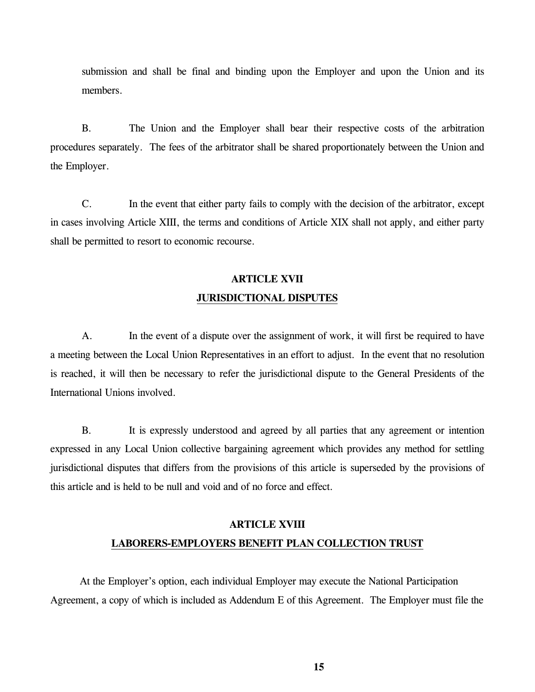submission and shall be final and binding upon the Employer and upon the Union and its members.

 B. The Union and the Employer shall bear their respective costs of the arbitration procedures separately. The fees of the arbitrator shall be shared proportionately between the Union and the Employer.

 C. In the event that either party fails to comply with the decision of the arbitrator, except in cases involving Article XIII, the terms and conditions of Article XIX shall not apply, and either party shall be permitted to resort to economic recourse.

## **ARTICLE XVII JURISDICTIONAL DISPUTES**

 A. In the event of a dispute over the assignment of work, it will first be required to have a meeting between the Local Union Representatives in an effort to adjust. In the event that no resolution is reached, it will then be necessary to refer the jurisdictional dispute to the General Presidents of the International Unions involved.

 B. It is expressly understood and agreed by all parties that any agreement or intention expressed in any Local Union collective bargaining agreement which provides any method for settling jurisdictional disputes that differs from the provisions of this article is superseded by the provisions of this article and is held to be null and void and of no force and effect.

## **ARTICLE XVIII LABORERS-EMPLOYERS BENEFIT PLAN COLLECTION TRUST**

 At the Employer's option, each individual Employer may execute the National Participation Agreement, a copy of which is included as Addendum E of this Agreement. The Employer must file the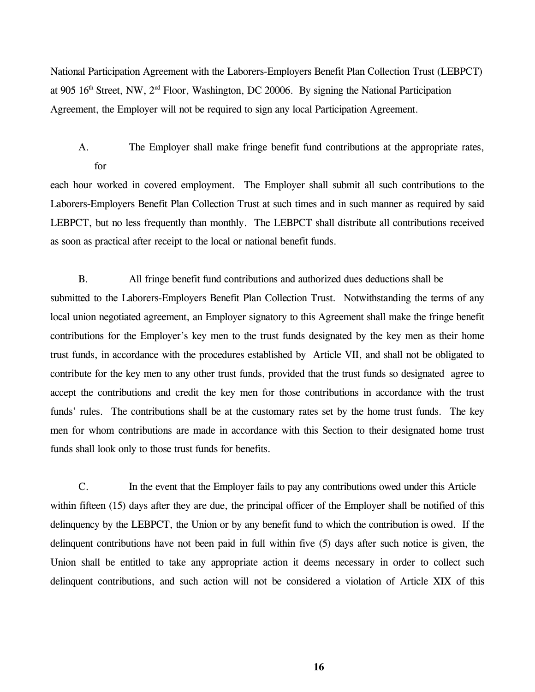National Participation Agreement with the Laborers-Employers Benefit Plan Collection Trust (LEBPCT) at 905  $16<sup>th</sup>$  Street, NW,  $2<sup>nd</sup>$  Floor, Washington, DC 20006. By signing the National Participation Agreement, the Employer will not be required to sign any local Participation Agreement.

A. The Employer shall make fringe benefit fund contributions at the appropriate rates, for

each hour worked in covered employment. The Employer shall submit all such contributions to the Laborers-Employers Benefit Plan Collection Trust at such times and in such manner as required by said LEBPCT, but no less frequently than monthly. The LEBPCT shall distribute all contributions received as soon as practical after receipt to the local or national benefit funds.

B. All fringe benefit fund contributions and authorized dues deductions shall be submitted to the Laborers-Employers Benefit Plan Collection Trust. Notwithstanding the terms of any local union negotiated agreement, an Employer signatory to this Agreement shall make the fringe benefit contributions for the Employer's key men to the trust funds designated by the key men as their home trust funds, in accordance with the procedures established by Article VII, and shall not be obligated to contribute for the key men to any other trust funds, provided that the trust funds so designated agree to accept the contributions and credit the key men for those contributions in accordance with the trust funds' rules. The contributions shall be at the customary rates set by the home trust funds. The key men for whom contributions are made in accordance with this Section to their designated home trust funds shall look only to those trust funds for benefits.

C. In the event that the Employer fails to pay any contributions owed under this Article within fifteen (15) days after they are due, the principal officer of the Employer shall be notified of this delinquency by the LEBPCT, the Union or by any benefit fund to which the contribution is owed. If the delinquent contributions have not been paid in full within five (5) days after such notice is given, the Union shall be entitled to take any appropriate action it deems necessary in order to collect such delinquent contributions, and such action will not be considered a violation of Article XIX of this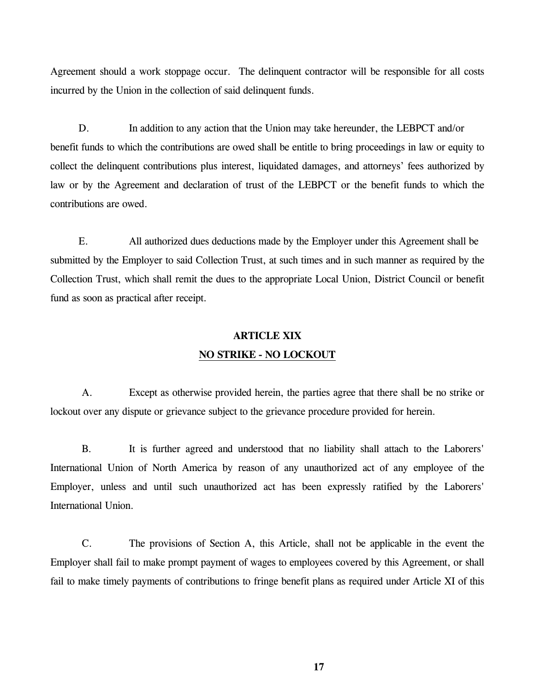Agreement should a work stoppage occur. The delinquent contractor will be responsible for all costs incurred by the Union in the collection of said delinquent funds.

D. In addition to any action that the Union may take hereunder, the LEBPCT and/or benefit funds to which the contributions are owed shall be entitle to bring proceedings in law or equity to collect the delinquent contributions plus interest, liquidated damages, and attorneys' fees authorized by law or by the Agreement and declaration of trust of the LEBPCT or the benefit funds to which the contributions are owed.

E. All authorized dues deductions made by the Employer under this Agreement shall be submitted by the Employer to said Collection Trust, at such times and in such manner as required by the Collection Trust, which shall remit the dues to the appropriate Local Union, District Council or benefit fund as soon as practical after receipt.

### **ARTICLE XIX NO STRIKE - NO LOCKOUT**

 A. Except as otherwise provided herein, the parties agree that there shall be no strike or lockout over any dispute or grievance subject to the grievance procedure provided for herein.

B. It is further agreed and understood that no liability shall attach to the Laborers' International Union of North America by reason of any unauthorized act of any employee of the Employer, unless and until such unauthorized act has been expressly ratified by the Laborers' International Union.

 C. The provisions of Section A, this Article, shall not be applicable in the event the Employer shall fail to make prompt payment of wages to employees covered by this Agreement, or shall fail to make timely payments of contributions to fringe benefit plans as required under Article XI of this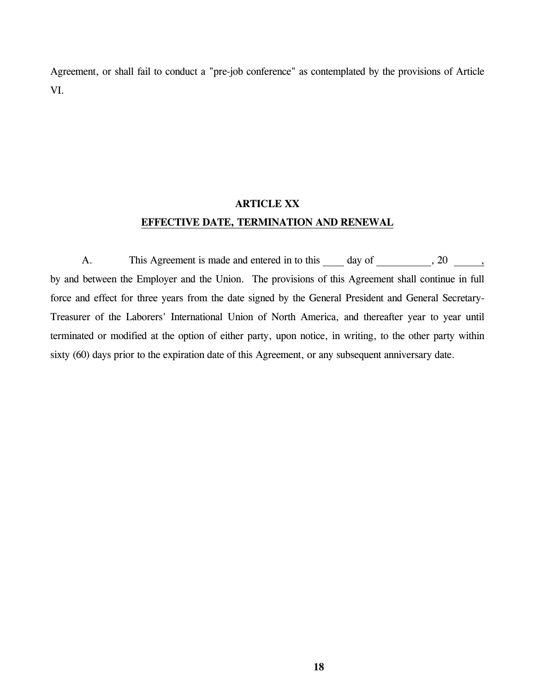Agreement, or shall fail to conduct a "pre-job conference" as contemplated by the provisions of Article VI.

## **ARTICLE XX EFFECTIVE DATE, TERMINATION AND RENEWAL**

A. This Agreement is made and entered in to this  $\qquad \qquad$  day of  $\qquad \qquad$ , 20  $\qquad \qquad$ , by and between the Employer and the Union. The provisions of this Agreement shall continue in full force and effect for three years from the date signed by the General President and General Secretary-Treasurer of the Laborers' International Union of North America, and thereafter year to year until terminated or modified at the option of either party, upon notice, in writing, to the other party within sixty (60) days prior to the expiration date of this Agreement, or any subsequent anniversary date.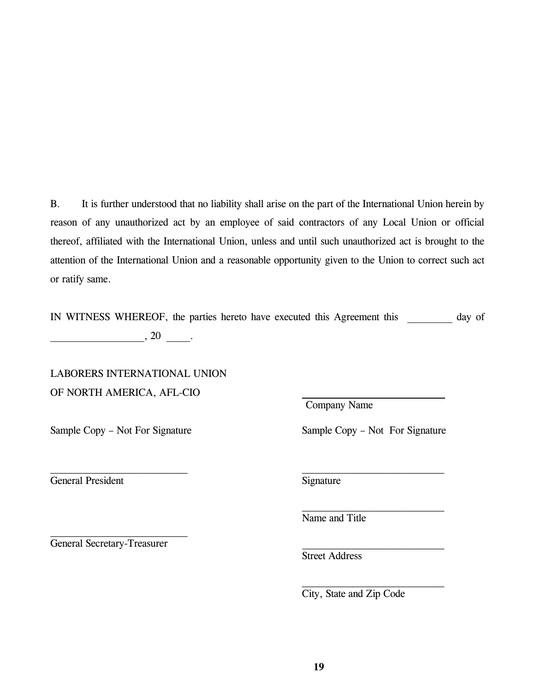B. It is further understood that no liability shall arise on the part of the International Union herein by reason of any unauthorized act by an employee of said contractors of any Local Union or official thereof, affiliated with the International Union, unless and until such unauthorized act is brought to the attention of the International Union and a reasonable opportunity given to the Union to correct such act or ratify same.

IN WITNESS WHEREOF, the parties hereto have executed this Agreement this day of  $\frac{1}{20}$ , 20  $\frac{1}{20}$ .

 $\mathcal{L}_\text{max}$  and the contract of the contract of the contract of the contract of the contract of the contract of

LABORERS INTERNATIONAL UNION OF NORTH AMERICA, AFL-CIO

General President Signature

General Secretary-Treasurer

 $\mathcal{L}_\text{max}$ 

Company Name

Sample Copy – Not For Signature Sample Copy – Not For Signature

Name and Title

Street Address

City, State and Zip Code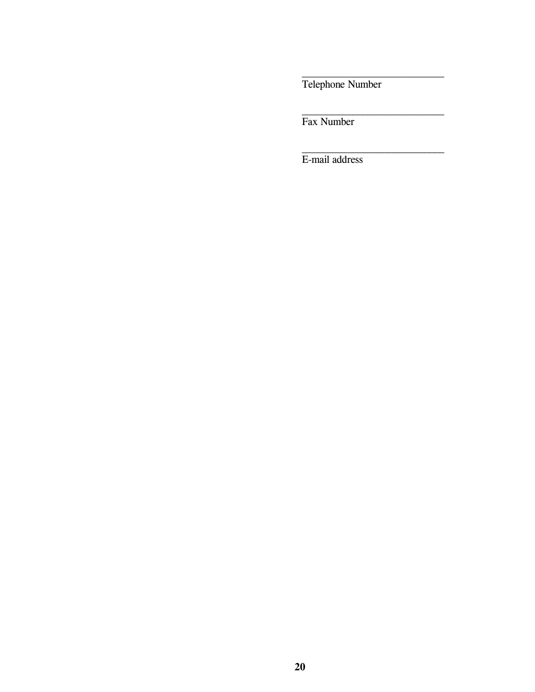Telephone Number

Fax Number

E-mail address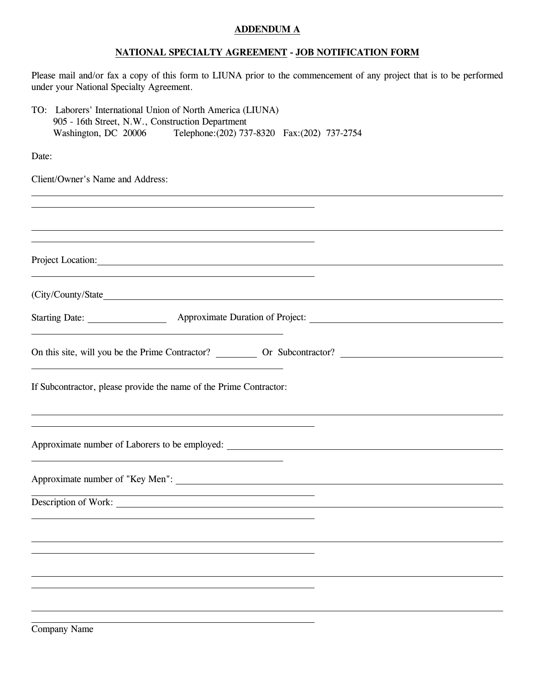#### **ADDENDUM A**

#### **NATIONAL SPECIALTY AGREEMENT - JOB NOTIFICATION FORM**

Please mail and/or fax a copy of this form to LIUNA prior to the commencement of any project that is to be performed under your National Specialty Agreement.

| TO: Laborers' International Union of North America (LIUNA)<br>905 - 16th Street, N.W., Construction Department   |  |
|------------------------------------------------------------------------------------------------------------------|--|
| Washington, DC 20006 Telephone: (202) 737-8320 Fax: (202) 737-2754                                               |  |
| Date:                                                                                                            |  |
| Client/Owner's Name and Address:                                                                                 |  |
|                                                                                                                  |  |
|                                                                                                                  |  |
| Project Location:                                                                                                |  |
|                                                                                                                  |  |
|                                                                                                                  |  |
|                                                                                                                  |  |
|                                                                                                                  |  |
| If Subcontractor, please provide the name of the Prime Contractor:                                               |  |
| and the control of the control of the control of the control of the control of the control of the control of the |  |
|                                                                                                                  |  |
| Description of Work:                                                                                             |  |
|                                                                                                                  |  |
|                                                                                                                  |  |
|                                                                                                                  |  |
|                                                                                                                  |  |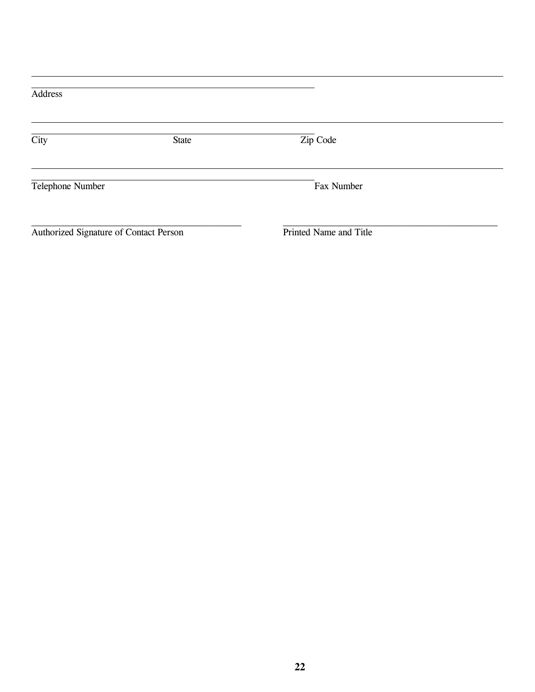| Address                                |       |                        |  |  |  |
|----------------------------------------|-------|------------------------|--|--|--|
| City                                   | State | Zip Code               |  |  |  |
| Telephone Number                       |       | Fax Number             |  |  |  |
| Authorized Signature of Contact Person |       | Printed Name and Title |  |  |  |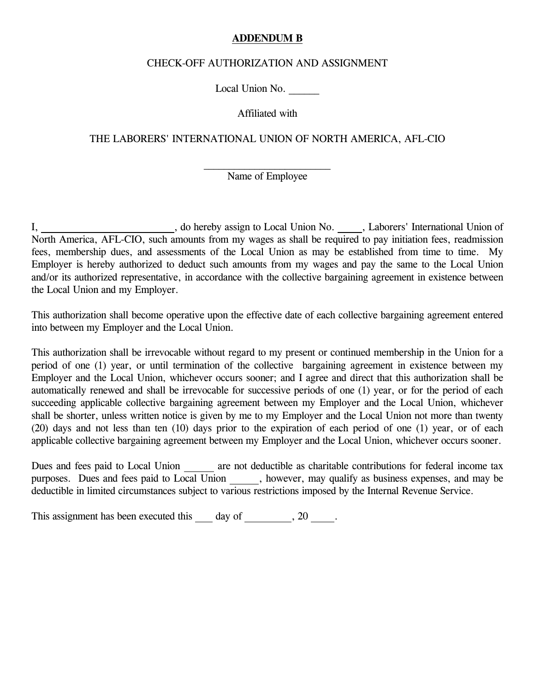#### **ADDENDUM B**

#### CHECK-OFF AUTHORIZATION AND ASSIGNMENT

Local Union No.

Affiliated with

THE LABORERS' INTERNATIONAL UNION OF NORTH AMERICA, AFL-CIO

### Name of Employee

I, do hereby assign to Local Union No. , Laborers' International Union of North America, AFL-CIO, such amounts from my wages as shall be required to pay initiation fees, readmission fees, membership dues, and assessments of the Local Union as may be established from time to time. My Employer is hereby authorized to deduct such amounts from my wages and pay the same to the Local Union and/or its authorized representative, in accordance with the collective bargaining agreement in existence between the Local Union and my Employer.

This authorization shall become operative upon the effective date of each collective bargaining agreement entered into between my Employer and the Local Union.

This authorization shall be irrevocable without regard to my present or continued membership in the Union for a period of one (1) year, or until termination of the collective bargaining agreement in existence between my Employer and the Local Union, whichever occurs sooner; and I agree and direct that this authorization shall be automatically renewed and shall be irrevocable for successive periods of one (1) year, or for the period of each succeeding applicable collective bargaining agreement between my Employer and the Local Union, whichever shall be shorter, unless written notice is given by me to my Employer and the Local Union not more than twenty (20) days and not less than ten (10) days prior to the expiration of each period of one (1) year, or of each applicable collective bargaining agreement between my Employer and the Local Union, whichever occurs sooner.

Dues and fees paid to Local Union are not deductible as charitable contributions for federal income tax purposes. Dues and fees paid to Local Union, however, may qualify as business expenses, and may be deductible in limited circumstances subject to various restrictions imposed by the Internal Revenue Service.

This assignment has been executed this  $\_\_\_$  day of  $\_\_\_\_$ , 20  $\_\_\_\$ .

 $\mathcal{L}_\text{max}$  and  $\mathcal{L}_\text{max}$  and  $\mathcal{L}_\text{max}$  and  $\mathcal{L}_\text{max}$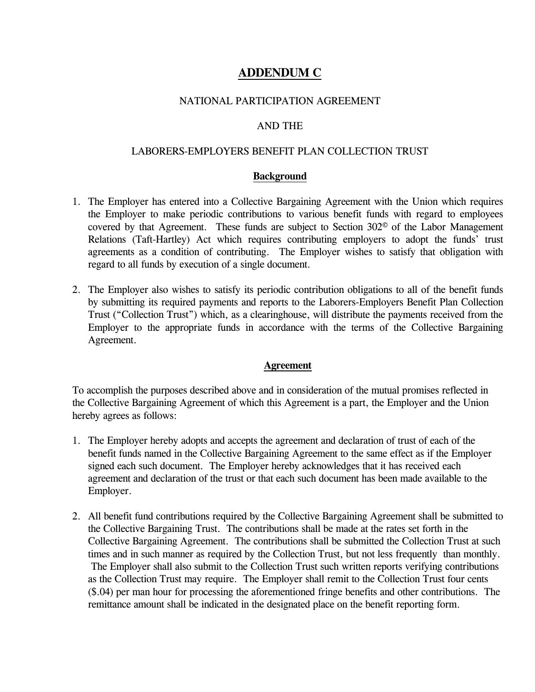### **ADDENDUM C**

### NATIONAL PARTICIPATION AGREEMENT

#### AND THE

#### LABORERS-EMPLOYERS BENEFIT PLAN COLLECTION TRUST

#### **Background**

- 1. The Employer has entered into a Collective Bargaining Agreement with the Union which requires the Employer to make periodic contributions to various benefit funds with regard to employees covered by that Agreement. These funds are subject to Section 302© of the Labor Management Relations (Taft-Hartley) Act which requires contributing employers to adopt the funds' trust agreements as a condition of contributing. The Employer wishes to satisfy that obligation with regard to all funds by execution of a single document.
- 2. The Employer also wishes to satisfy its periodic contribution obligations to all of the benefit funds by submitting its required payments and reports to the Laborers-Employers Benefit Plan Collection Trust ("Collection Trust") which, as a clearinghouse, will distribute the payments received from the Employer to the appropriate funds in accordance with the terms of the Collective Bargaining Agreement.

### **Agreement**

To accomplish the purposes described above and in consideration of the mutual promises reflected in the Collective Bargaining Agreement of which this Agreement is a part, the Employer and the Union hereby agrees as follows:

- 1. The Employer hereby adopts and accepts the agreement and declaration of trust of each of the benefit funds named in the Collective Bargaining Agreement to the same effect as if the Employer signed each such document. The Employer hereby acknowledges that it has received each agreement and declaration of the trust or that each such document has been made available to the Employer.
- 2. All benefit fund contributions required by the Collective Bargaining Agreement shall be submitted to the Collective Bargaining Trust. The contributions shall be made at the rates set forth in the Collective Bargaining Agreement. The contributions shall be submitted the Collection Trust at such times and in such manner as required by the Collection Trust, but not less frequently than monthly. The Employer shall also submit to the Collection Trust such written reports verifying contributions as the Collection Trust may require. The Employer shall remit to the Collection Trust four cents (\$.04) per man hour for processing the aforementioned fringe benefits and other contributions. The remittance amount shall be indicated in the designated place on the benefit reporting form.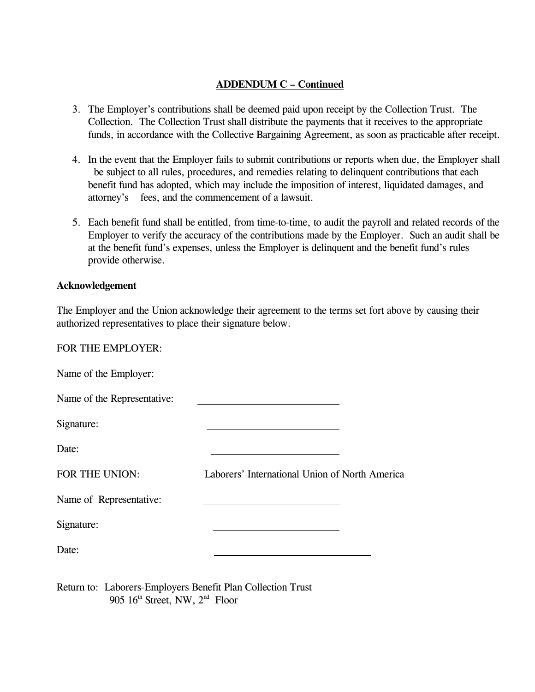### **ADDENDUM C – Continued**

- 3. The Employer's contributions shall be deemed paid upon receipt by the Collection Trust. The Collection. The Collection Trust shall distribute the payments that it receives to the appropriate funds, in accordance with the Collective Bargaining Agreement, as soon as practicable after receipt.
- 4. In the event that the Employer fails to submit contributions or reports when due, the Employer shall be subject to all rules, procedures, and remedies relating to delinquent contributions that each benefit fund has adopted, which may include the imposition of interest, liquidated damages, and attorney's fees, and the commencement of a lawsuit.
- 5. Each benefit fund shall be entitled, from time-to-time, to audit the payroll and related records of the Employer to verify the accuracy of the contributions made by the Employer. Such an audit shall be at the benefit fund's expenses, unless the Employer is delinquent and the benefit fund's rules provide otherwise.

#### **Acknowledgement**

The Employer and the Union acknowledge their agreement to the terms set fort above by causing their authorized representatives to place their signature below.

FOR THE EMPLOYER:

| Name of the Employer:       |                                                |
|-----------------------------|------------------------------------------------|
| Name of the Representative: |                                                |
| Signature:                  |                                                |
| Date:                       |                                                |
| FOR THE UNION:              | Laborers' International Union of North America |
| Name of Representative:     |                                                |
| Signature:                  |                                                |
| Date:                       |                                                |

Return to: Laborers-Employers Benefit Plan Collection Trust 905  $16<sup>th</sup>$  Street, NW,  $2<sup>nd</sup>$  Floor